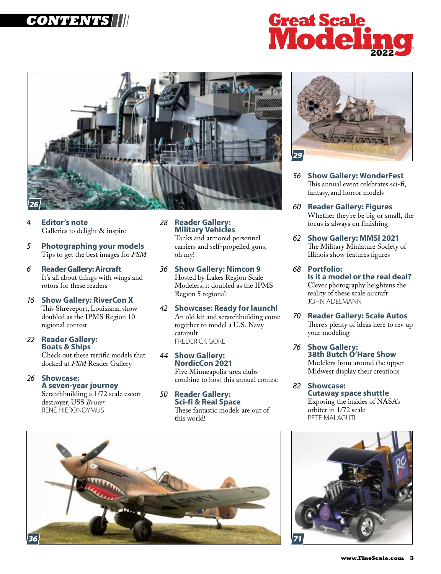# **CONTENTS**





- *4* **Editor's note** Galleries to delight & inspire
- *5* **Photographing your models** Tips to get the best images for *FSM*
- *6* **Reader Gallery: Aircraft** It's all about things with wings and rotors for these readers
- *16* **Show Gallery: RiverCon X** This Shreveport, Louisiana, show doubled as the IPMS Region 10 regional contest
- *22* **Reader Gallery: Boats & Ships**

Check out these terrific models that docked at *FSM* Reader Gallery

*26* **Showcase: A seven-year journey** Scratchbuilding a 1/72 scale escort destroyer, USS *Brister*

RENÉ HIERONOYMUS

*28* **Reader Gallery: Military Vehicles**

Tanks and armored personnel carriers and self-propelled guns, oh my!

- *36* **Show Gallery: Nimcon 9** Hosted by Lakes Region Scale Modelers, it doubled as the IPMS Region 5 regional
- *42* **Showcase: Ready for launch!** An old kit and scratchbuilding come together to model a U.S. Navy catapult FREDERICK GORE
- *44* **Show Gallery: NordicCon 2021** Five Minneapolis-area clubs combine to host this annual contest
- *50* **Reader Gallery: Sci-fi & Real Space** These fantastic models are out of this world!



- *56* **Show Gallery: WonderFest**  This annual event celebrates sci-fi, fantasy, and horror models
- *60* **Reader Gallery: Figures** Whether they're be big or small, the focus is always on finishing
- *62* **Show Gallery: MMSI 2021** The Military Miniature Society of Illinois show features figures
- *68* **Portfolio: Is it a model or the real deal?** Clever photography heightens the reality of these scale aircraft JOHN ADELMANN
- *70* **Reader Gallery: Scale Autos**  There's plenty of ideas here to rev up your modeling
- *76* **Show Gallery: 38th Butch O'Hare Show** Modelers from around the upper Midwest display their creations
- *82* **Showcase: Cutaway space shuttle** Exposing the insides of NASA's orbiter in 1/72 scale PETE MALAGUTI



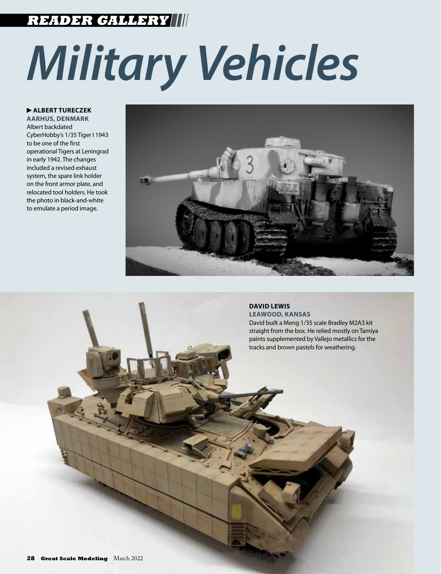# **READER GALLERY**

# *Military Vehicles*

 **ALBERT TURECZEK**

**AARHUS, DENMARK** Albert backdated CyberHobby's 1/35 Tiger I 1943 to be one of the first operational Tigers at Leningrad in early 1942. The changes included a revised exhaust system, the spare link holder on the front armor plate, and relocated tool holders. He took the photo in black-and-white to emulate a period image.



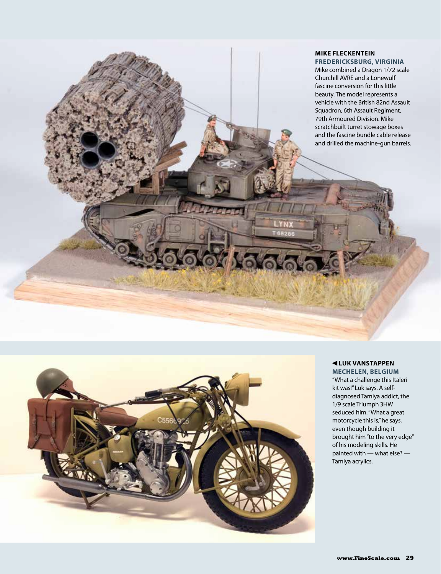### **MIKE FLECKENTEIN FREDERICKSBURG, VIRGINIA**

Mike combined a Dragon 1/72 scale Churchill AVRE and a Lonewulf fascine conversion for this little beauty. The model represents a vehicle with the British 82nd Assault Squadron, 6th Assault Regiment, 79th Armoured Division. Mike scratchbuilt turret stowage boxes and the fascine bundle cable release and drilled the machine-gun barrels.



#### **LUK VANSTAPPEN MECHELEN, BELGIUM**

"What a challenge this Italeri kit was!" Luk says. A selfdiagnosed Tamiya addict, the 1/9 scale Triumph 3HW seduced him. "What a great motorcycle this is," he says, even though building it brought him "to the very edge" of his modeling skills. He painted with — what else? — Tamiya acrylics.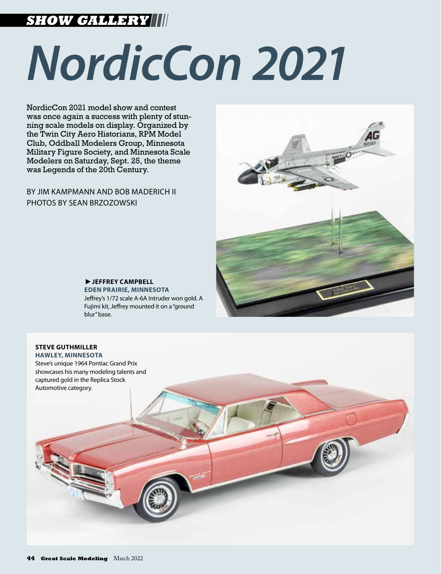# **SHOW GALLERY**

# *NordicCon 2021*

NordicCon 2021 model show and contest was once again a success with plenty of stunning scale models on display. Organized by the Twin City Aero Historians, RPM Model Club, Oddball Modelers Group, Minnesota Military Figure Society, and Minnesota Scale Modelers on Saturday, Sept. 25, the theme was Legends of the 20th Century.

BY JIM KAMPMANN AND BOB MADERICH II PHOTOS BY SEAN BRZOZOWSKI



**EFFREY CAMPBELL EDEN PRAIRIE, MINNESOTA** Jeffrey's 1/72 scale A-6A Intruder won gold. A Fujimi kit, Jeffrey mounted it on a "ground blur" base.

# **STEVE GUTHMILLER**

**HAWLEY, MINNESOTA** Steve's unique 1964 Pontiac Grand Prix showcases his many modeling talents and captured gold in the Replica Stock Automotive category.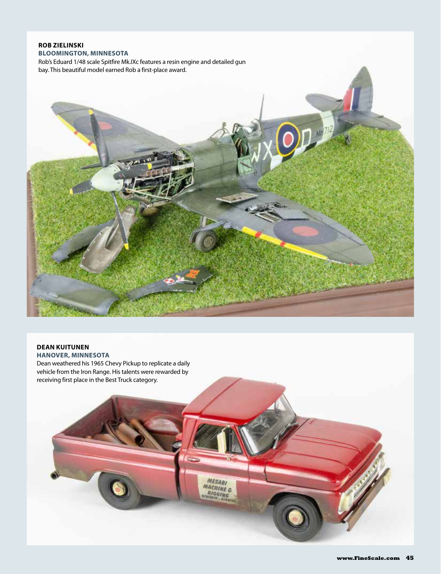### **ROB ZIELINSKI BLOOMINGTON, MINNESOTA**

Rob's Eduard 1/48 scale Spitfire Mk.IXc features a resin engine and detailed gun bay. This beautiful model earned Rob a first-place award.



MESABI<br>MACHINE C<br>RIGGING

# **DEAN KUITUNEN**

**HANOVER, MINNESOTA**

Dean weathered his 1965 Chevy Pickup to replicate a daily vehicle from the Iron Range. His talents were rewarded by receiving first place in the Best Truck category.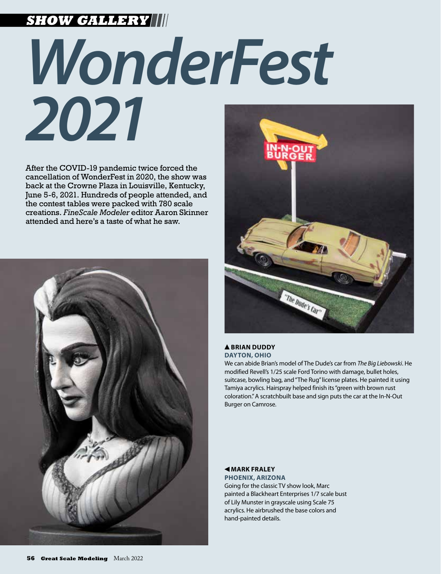# **SHOW GALLERY**

# *WonderFest 2021*

After the COVID-19 pandemic twice forced the cancellation of WonderFest in 2020, the show was back at the Crowne Plaza in Louisville, Kentucky, June 5-6, 2021. Hundreds of people attended, and the contest tables were packed with 780 scale creations. *FineScale Modeler* editor Aaron Skinner attended and here's a taste of what he saw.





#### **BRIAN DUDDY DAYTON, OHIO**

We can abide Brian's model of The Dude's car from *The Big Liebowski*. He modified Revell's 1/25 scale Ford Torino with damage, bullet holes, suitcase, bowling bag, and "The Rug" license plates. He painted it using Tamiya acrylics. Hairspray helped finish its "green with brown rust coloration." A scratchbuilt base and sign puts the car at the In-N-Out Burger on Camrose.

#### **MARK FRALEY**

**PHOENIX, ARIZONA** Going for the classic TV show look, Marc painted a Blackheart Enterprises 1/7 scale bust of Lily Munster in grayscale using Scale 75 acrylics. He airbrushed the base colors and hand-painted details.